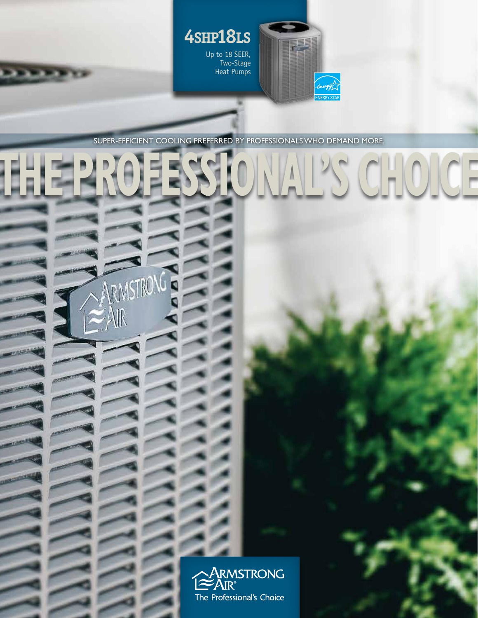

Super-efficient cooling preferred by professionals who demand more.

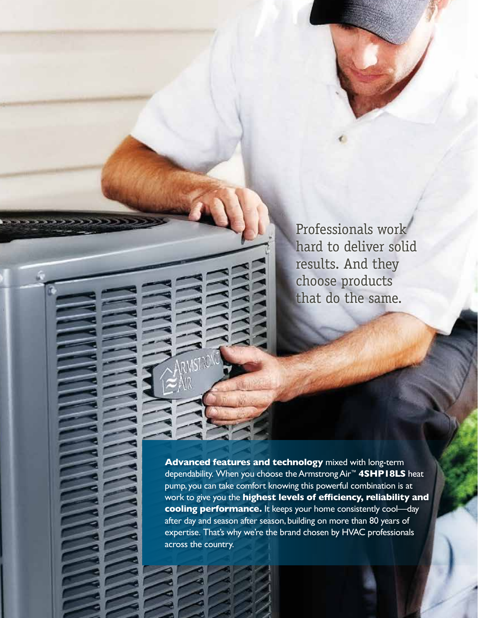Professionals work hard to deliver solid results. And they choose products that do the same.

**Advanced features and technology** mixed with long-term dependability. When you choose the Armstrong Air™ **4SHP18LS** heat pump, you can take comfort knowing this powerful combination is at work to give you the **highest levels of efficiency, reliability and cooling performance.** It keeps your home consistently cool—day after day and season after season, building on more than 80 years of expertise. That's why we're the brand chosen by HVAC professionals across the country.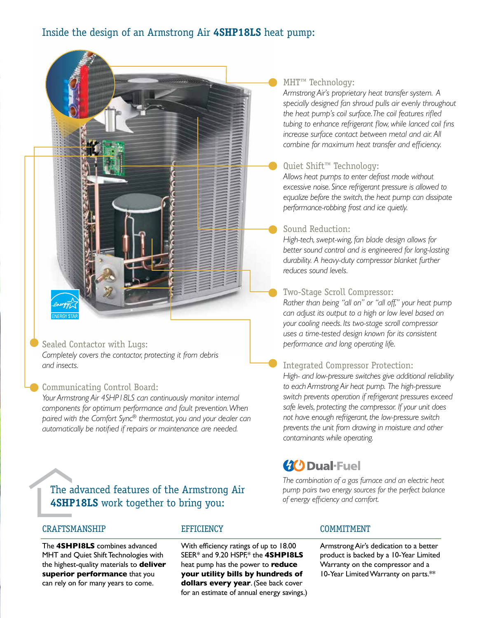## Inside the design of an Armstrong Air **4SHP18LS** heat pump:



Sealed Contactor with Lugs: *Completely covers the contactor, protecting it from debris and insects.*

#### Communicating Control Board:

*Your Armstrong Air 4SHP18LS can continuously monitor internal components for optimum performance and fault prevention. When paired with the Comfort Sync® thermostat, you and your dealer can automatically be notified if repairs or maintenance are needed.*

# The advanced features of the Armstrong Air **4SHP18LS** work together to bring you:

### CRAFTSMANSHIP

The **4SHP18LS** combines advanced MHT and Quiet Shift Technologies with the highest-quality materials to **deliver superior performance** that you can rely on for many years to come.

#### **EFFICIENCY**

With efficiency ratings of up to 18.00 SEER\* and 9.20 HSPF,\* the **4SHP18LS** heat pump has the power to **reduce your utility bills by hundreds of dollars every year**. (See back cover for an estimate of annual energy savings.)

#### MHT™ Technology:

*Armstrong Air's proprietary heat transfer system. A specially designed fan shroud pulls air evenly throughout the heat pump's coil surface. The coil features rifled tubing to enhance refrigerant flow, while lanced coil fins increase surface contact between metal and air. All combine for maximum heat transfer and efficiency.*

#### Quiet Shift<sup>™</sup> Technology:

*Allows heat pumps to enter defrost mode without excessive noise. Since refrigerant pressure is allowed to equalize before the switch, the heat pump can dissipate performance-robbing frost and ice quietly.*

#### Sound Reduction:

*High-tech, swept-wing, fan blade design allows for better sound control and is engineered for long-lasting durability. A heavy-duty compressor blanket further reduces sound levels.*

#### Two-Stage Scroll Compressor:

*Rather than being "all on" or "all off," your heat pump can adjust its output to a high or low level based on your cooling needs. Its two-stage scroll compressor uses a time-tested design known for its consistent performance and long operating life.*

#### Integrated Compressor Protection:

*High- and low-pressure switches give additional reliability to each Armstrong Air heat pump. The high-pressure switch prevents operation if refrigerant pressures exceed safe levels, protecting the compressor. If your unit does not have enough refrigerant, the low-pressure switch prevents the unit from drawing in moisture and other contaminants while operating.*

# **(1)** Dual-Fuel

*The combination of a gas furnace and an electric heat pump pairs two energy sources for the perfect balance of energy efficiency and comfort.*

#### COMMITMENT

Armstrong Air's dedication to a better product is backed by a 10-Year Limited Warranty on the compressor and a 10-Year Limited Warranty on parts.\*\*